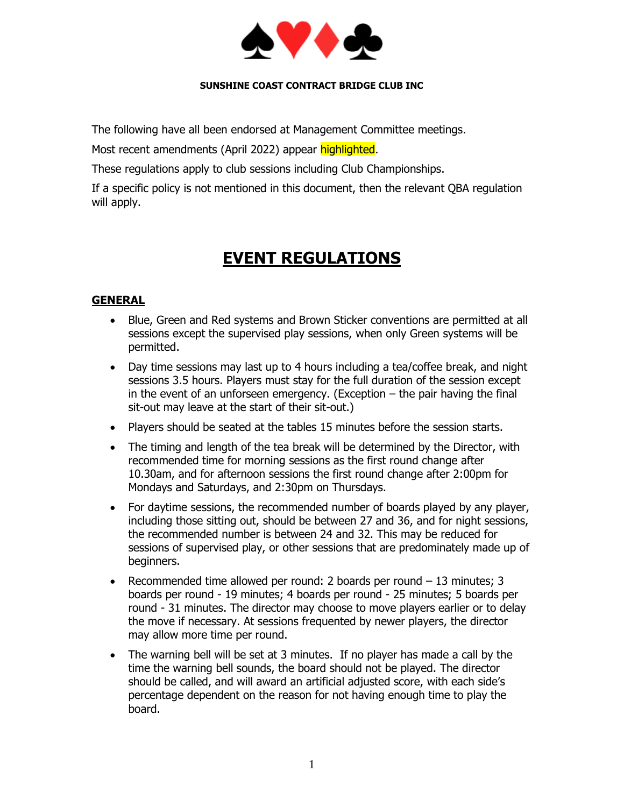

#### **SUNSHINE COAST CONTRACT BRIDGE CLUB INC**

The following have all been endorsed at Management Committee meetings.

Most recent amendments (April 2022) appear highlighted.

These regulations apply to club sessions including Club Championships.

If a specific policy is not mentioned in this document, then the relevant QBA regulation will apply.

## **EVENT REGULATIONS**

### **GENERAL**

- Blue, Green and Red systems and Brown Sticker conventions are permitted at all sessions except the supervised play sessions, when only Green systems will be permitted.
- Day time sessions may last up to 4 hours including a tea/coffee break, and night sessions 3.5 hours. Players must stay for the full duration of the session except in the event of an unforseen emergency. (Exception  $-$  the pair having the final sit-out may leave at the start of their sit-out.)
- Players should be seated at the tables 15 minutes before the session starts.
- The timing and length of the tea break will be determined by the Director, with recommended time for morning sessions as the first round change after 10.30am, and for afternoon sessions the first round change after 2:00pm for Mondays and Saturdays, and 2:30pm on Thursdays.
- For daytime sessions, the recommended number of boards played by any player, including those sitting out, should be between 27 and 36, and for night sessions, the recommended number is between 24 and 32. This may be reduced for sessions of supervised play, or other sessions that are predominately made up of beginners.
- Recommended time allowed per round: 2 boards per round 13 minutes; 3 boards per round - 19 minutes; 4 boards per round - 25 minutes; 5 boards per round - 31 minutes. The director may choose to move players earlier or to delay the move if necessary. At sessions frequented by newer players, the director may allow more time per round.
- The warning bell will be set at 3 minutes. If no player has made a call by the time the warning bell sounds, the board should not be played. The director should be called, and will award an artificial adjusted score, with each side's percentage dependent on the reason for not having enough time to play the board.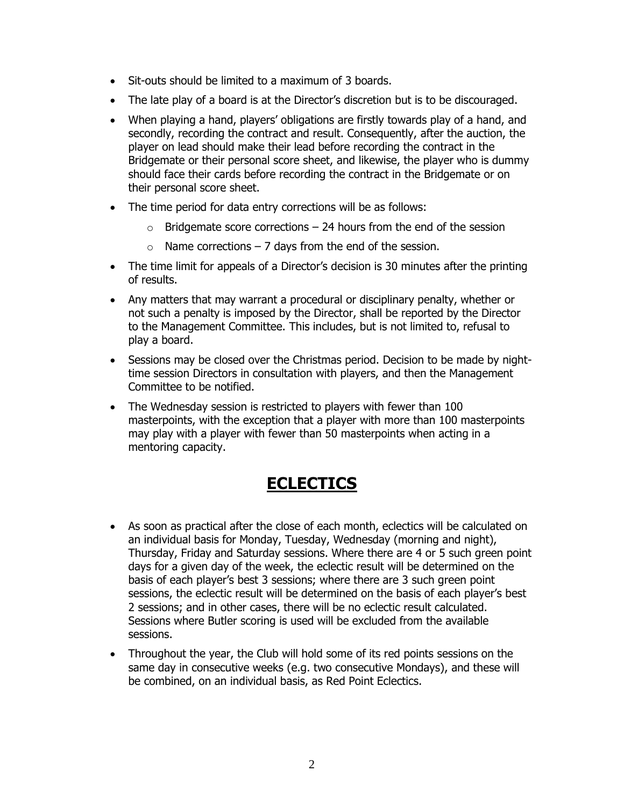- Sit-outs should be limited to a maximum of 3 boards.
- The late play of a board is at the Director's discretion but is to be discouraged.
- When playing a hand, players' obligations are firstly towards play of a hand, and secondly, recording the contract and result. Consequently, after the auction, the player on lead should make their lead before recording the contract in the Bridgemate or their personal score sheet, and likewise, the player who is dummy should face their cards before recording the contract in the Bridgemate or on their personal score sheet.
- The time period for data entry corrections will be as follows:
	- $\circ$  Bridgemate score corrections 24 hours from the end of the session
	- $\circ$  Name corrections 7 days from the end of the session.
- The time limit for appeals of a Director's decision is 30 minutes after the printing of results.
- Any matters that may warrant a procedural or disciplinary penalty, whether or not such a penalty is imposed by the Director, shall be reported by the Director to the Management Committee. This includes, but is not limited to, refusal to play a board.
- Sessions may be closed over the Christmas period. Decision to be made by nighttime session Directors in consultation with players, and then the Management Committee to be notified.
- The Wednesday session is restricted to players with fewer than 100 masterpoints, with the exception that a player with more than 100 masterpoints may play with a player with fewer than 50 masterpoints when acting in a mentoring capacity.

### **ECLECTICS**

- As soon as practical after the close of each month, eclectics will be calculated on an individual basis for Monday, Tuesday, Wednesday (morning and night), Thursday, Friday and Saturday sessions. Where there are 4 or 5 such green point days for a given day of the week, the eclectic result will be determined on the basis of each player's best 3 sessions; where there are 3 such green point sessions, the eclectic result will be determined on the basis of each player's best 2 sessions; and in other cases, there will be no eclectic result calculated. Sessions where Butler scoring is used will be excluded from the available sessions.
- Throughout the year, the Club will hold some of its red points sessions on the same day in consecutive weeks (e.g. two consecutive Mondays), and these will be combined, on an individual basis, as Red Point Eclectics.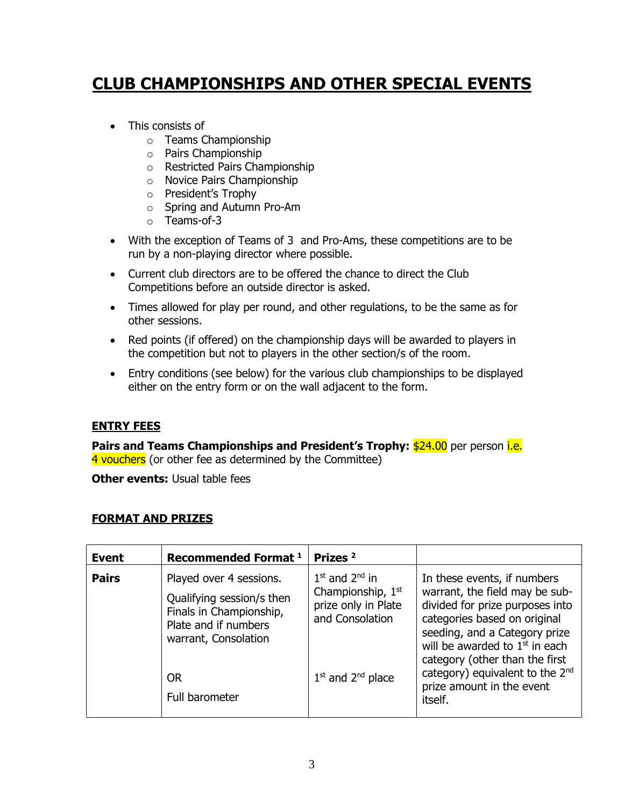# **CLUB CHAMPIONSHIPS AND OTHER SPECIAL EVENTS**

- This consists of
	- o Teams Championship
	- o Pairs Championship
	- o Restricted Pairs Championship
	- o Novice Pairs Championship
	- o President's Trophy
	- o Spring and Autumn Pro-Am
	- o Teams-of-3
- With the exception of Teams of 3 and Pro-Ams, these competitions are to be run by a non-playing director where possible.
- Current club directors are to be offered the chance to direct the Club Competitions before an outside director is asked.
- Times allowed for play per round, and other regulations, to be the same as for other sessions.
- Red points (if offered) on the championship days will be awarded to players in the competition but not to players in the other section/s of the room.
- Entry conditions (see below) for the various club championships to be displayed either on the entry form or on the wall adjacent to the form.

### **ENTRY FEES**

**Pairs and Teams Championships and President's Trophy:** \$24.00 per person i.e. 4 vouchers (or other fee as determined by the Committee)

**Other events: Usual table fees** 

#### **FORMAT AND PRIZES**

| <b>Event</b> | Recommended Format <sup>1</sup>                                                                                                 | Prizes <sup>2</sup>                                                                           |                                                                                                                                                                                                                                         |
|--------------|---------------------------------------------------------------------------------------------------------------------------------|-----------------------------------------------------------------------------------------------|-----------------------------------------------------------------------------------------------------------------------------------------------------------------------------------------------------------------------------------------|
| <b>Pairs</b> | Played over 4 sessions.<br>Qualifying session/s then<br>Finals in Championship,<br>Plate and if numbers<br>warrant, Consolation | $1st$ and $2nd$ in<br>Championship, 1 <sup>st</sup><br>prize only in Plate<br>and Consolation | In these events, if numbers<br>warrant, the field may be sub-<br>divided for prize purposes into<br>categories based on original<br>seeding, and a Category prize<br>will be awarded to $1st$ in each<br>category (other than the first |
|              | <b>OR</b><br>Full barometer                                                                                                     | $1st$ and $2nd$ place                                                                         | category) equivalent to the 2 <sup>nd</sup><br>prize amount in the event<br>itself.                                                                                                                                                     |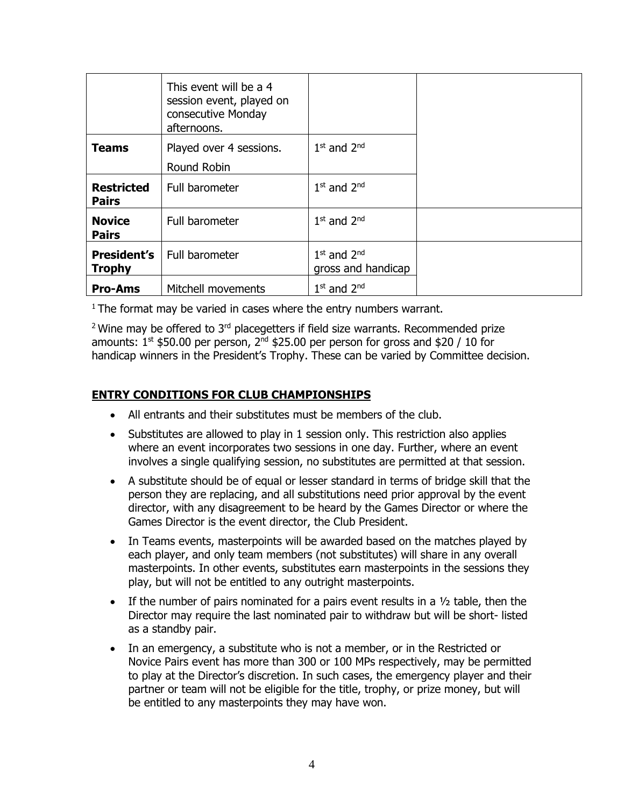|                                     | This event will be a 4<br>session event, played on<br>consecutive Monday<br>afternoons. |                                       |  |
|-------------------------------------|-----------------------------------------------------------------------------------------|---------------------------------------|--|
| <b>Teams</b>                        | Played over 4 sessions.<br>Round Robin                                                  | $1st$ and $2nd$                       |  |
| <b>Restricted</b><br><b>Pairs</b>   | Full barometer                                                                          | $1st$ and $2nd$                       |  |
| <b>Novice</b><br><b>Pairs</b>       | Full barometer                                                                          | $1st$ and $2nd$                       |  |
| <b>President's</b><br><b>Trophy</b> | Full barometer                                                                          | $1st$ and $2nd$<br>gross and handicap |  |
| <b>Pro-Ams</b>                      | Mitchell movements                                                                      | $1st$ and $2nd$                       |  |

 $1$  The format may be varied in cases where the entry numbers warrant.

 $2$  Wine may be offered to  $3<sup>rd</sup>$  placegetters if field size warrants. Recommended prize amounts:  $1<sup>st</sup>$  \$50.00 per person,  $2<sup>nd</sup>$  \$25.00 per person for gross and \$20 / 10 for handicap winners in the President's Trophy. These can be varied by Committee decision.

### **ENTRY CONDITIONS FOR CLUB CHAMPIONSHIPS**

- All entrants and their substitutes must be members of the club.
- Substitutes are allowed to play in 1 session only. This restriction also applies where an event incorporates two sessions in one day. Further, where an event involves a single qualifying session, no substitutes are permitted at that session.
- A substitute should be of equal or lesser standard in terms of bridge skill that the person they are replacing, and all substitutions need prior approval by the event director, with any disagreement to be heard by the Games Director or where the Games Director is the event director, the Club President.
- In Teams events, masterpoints will be awarded based on the matches played by each player, and only team members (not substitutes) will share in any overall masterpoints. In other events, substitutes earn masterpoints in the sessions they play, but will not be entitled to any outright masterpoints.
- If the number of pairs nominated for a pairs event results in a  $\frac{1}{2}$  table, then the Director may require the last nominated pair to withdraw but will be short- listed as a standby pair.
- In an emergency, a substitute who is not a member, or in the Restricted or Novice Pairs event has more than 300 or 100 MPs respectively, may be permitted to play at the Director's discretion. In such cases, the emergency player and their partner or team will not be eligible for the title, trophy, or prize money, but will be entitled to any masterpoints they may have won.